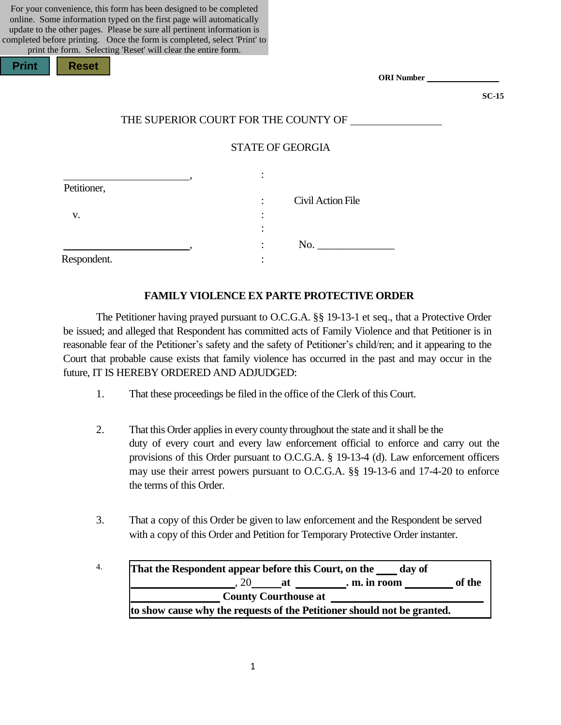| For your convenience, this form has been designed to be completed<br>online. Some information typed on the first page will automatically<br>update to the other pages. Please be sure all pertinent information is<br>completed before printing. Once the form is completed, select 'Print' to<br>print the form. Selecting 'Reset' will clear the entire form. |                                      |         |
|-----------------------------------------------------------------------------------------------------------------------------------------------------------------------------------------------------------------------------------------------------------------------------------------------------------------------------------------------------------------|--------------------------------------|---------|
| <b>Print</b><br><b>Reset</b>                                                                                                                                                                                                                                                                                                                                    | <b>ORI</b> Number                    |         |
|                                                                                                                                                                                                                                                                                                                                                                 |                                      | $SC-15$ |
|                                                                                                                                                                                                                                                                                                                                                                 | THE SUPERIOR COURT FOR THE COUNTY OF |         |
|                                                                                                                                                                                                                                                                                                                                                                 | <b>STATE OF GEORGIA</b>              |         |
| Petitioner,                                                                                                                                                                                                                                                                                                                                                     |                                      |         |
|                                                                                                                                                                                                                                                                                                                                                                 | Civil Action File                    |         |
| V.                                                                                                                                                                                                                                                                                                                                                              |                                      |         |
|                                                                                                                                                                                                                                                                                                                                                                 |                                      |         |
|                                                                                                                                                                                                                                                                                                                                                                 |                                      |         |
| Respondent.                                                                                                                                                                                                                                                                                                                                                     |                                      |         |
|                                                                                                                                                                                                                                                                                                                                                                 |                                      |         |

### **FAMILY VIOLENCE EX PARTE PROTECTIVE ORDER**

The Petitioner having prayed pursuant to O.C.G.A. §§ 19-13-1 et seq., that a Protective Order be issued; and alleged that Respondent has committed acts of Family Violence and that Petitioner is in reasonable fear of the Petitioner's safety and the safety of Petitioner's child/ren; and it appearing to the Court that probable cause exists that family violence has occurred in the past and may occur in the future, IT IS HEREBY ORDERED AND ADJUDGED:

- 1. That these proceedings be filed in the office of the Clerk of this Court.
- 2. That this Order applies in every county throughout the state and it shall be the duty of every court and every law enforcement official to enforce and carry out the provisions of this Order pursuant to O.C.G.A. § 19-13-4 (d). Law enforcement officers may use their arrest powers pursuant to O.C.G.A. §§ 19-13-6 and 17-4-20 to enforce the terms of this Order.
- 3. That a copy of this Order be given to law enforcement and the Respondent be served with a copy of this Order and Petition for Temporary Protective Order instanter.
- 4. **That the Respondent appear before this Court, on the day of** , 20 **at . m. in room of the County Courthouse at to show cause why the requests of the Petitioner should not be granted.**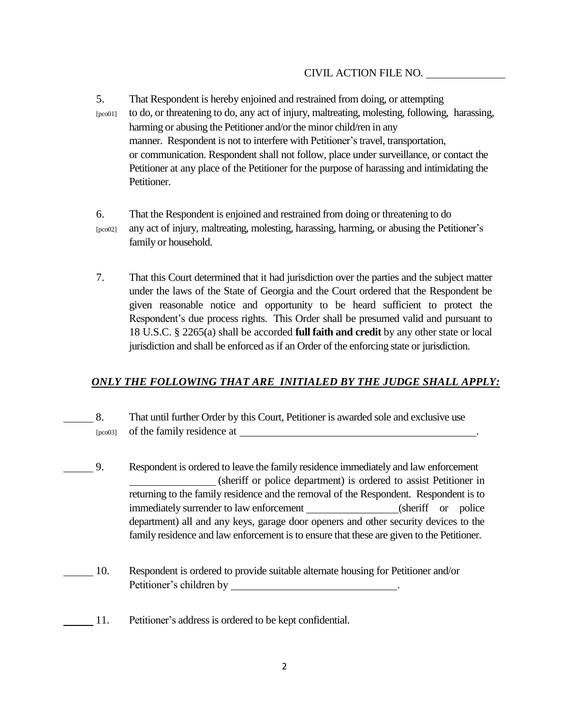- 5. That Respondent is hereby enjoined and restrained from doing, or attempting [pco01] to do, or threatening to do, any act of injury, maltreating, molesting, following, harassing, harming or abusing the Petitioner and/or the minor child/ren in any manner. Respondent is not to interfere with Petitioner's travel, transportation, or communication. Respondent shall not follow, place under surveillance, or contact the Petitioner at any place of the Petitioner for the purpose of harassing and intimidating the Petitioner.
- 6. That the Respondent is enjoined and restrained from doing or threatening to do [pco02] any act of injury, maltreating, molesting, harassing, harming, or abusing the Petitioner's family or household.
- 7. That this Court determined that it had jurisdiction over the parties and the subject matter under the laws of the State of Georgia and the Court ordered that the Respondent be given reasonable notice and opportunity to be heard sufficient to protect the Respondent's due process rights. This Order shall be presumed valid and pursuant to 18 U.S.C. § 2265(a) shall be accorded **full faith and credit** by any other state or local jurisdiction and shall be enforced as if an Order of the enforcing state or jurisdiction.

# *ONLY THE FOLLOWING THAT ARE INITIALED BY THE JUDGE SHALL APPLY:*

- 8. That until further Order by this Court, Petitioner is awarded sole and exclusive use [pco03] of the family residence at  $\blacksquare$
- 9. Respondent is ordered to leave the family residence immediately and law enforcement (sheriff or police department) is ordered to assist Petitioner in returning to the family residence and the removal of the Respondent. Respondent is to immediately surrender to law enforcement (sheriff or police department) all and any keys, garage door openers and other security devices to the family residence and law enforcement is to ensure that these are given to the Petitioner.
- 10. Respondent is ordered to provide suitable alternate housing for Petitioner and/or Petitioner's children by .
- 11. Petitioner's addressis ordered to be kept confidential.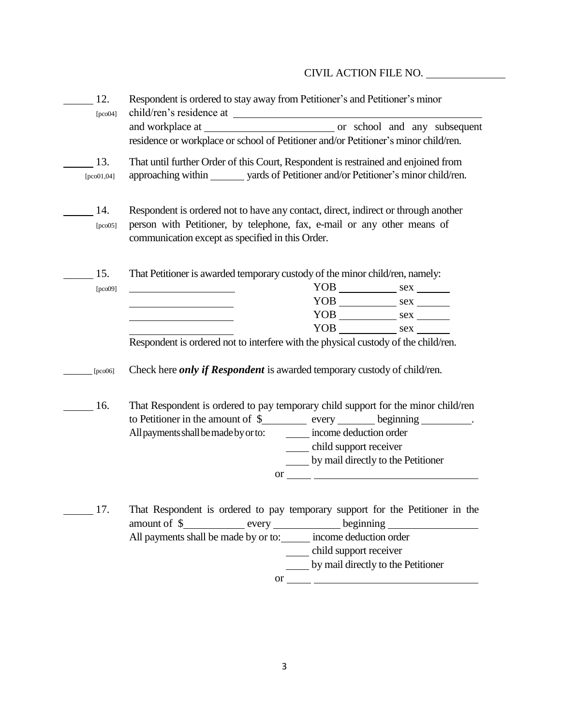# CIVIL ACTION FILE NO.

| 12.<br>[pco04]      | Respondent is ordered to stay away from Petitioner's and Petitioner's minor<br>residence or workplace or school of Petitioner and/or Petitioner's minor child/ren.                                                                                                                                                                                                                                                                                                                                                                                                                                                                                                                                                    |
|---------------------|-----------------------------------------------------------------------------------------------------------------------------------------------------------------------------------------------------------------------------------------------------------------------------------------------------------------------------------------------------------------------------------------------------------------------------------------------------------------------------------------------------------------------------------------------------------------------------------------------------------------------------------------------------------------------------------------------------------------------|
| 13.<br>$[pco01,04]$ | That until further Order of this Court, Respondent is restrained and enjoined from<br>approaching within ________ yards of Petitioner and/or Petitioner's minor child/ren.                                                                                                                                                                                                                                                                                                                                                                                                                                                                                                                                            |
| 14.<br>[pco05]      | Respondent is ordered not to have any contact, direct, indirect or through another<br>person with Petitioner, by telephone, fax, e-mail or any other means of<br>communication except as specified in this Order.                                                                                                                                                                                                                                                                                                                                                                                                                                                                                                     |
| 15.<br>[pco09]      | That Petitioner is awarded temporary custody of the minor child/ren, namely:<br><u> 1989 - Johann Barn, mars ann an t-Aonaich an t-Aonaich an t-Aonaich an t-Aonaich an t-Aonaich an t-Aonaich a</u><br>Respondent is ordered not to interfere with the physical custody of the child/ren.                                                                                                                                                                                                                                                                                                                                                                                                                            |
| [ $pco06$ ]         | Check here <i>only if Respondent</i> is awarded temporary custody of child/ren.                                                                                                                                                                                                                                                                                                                                                                                                                                                                                                                                                                                                                                       |
| 16.                 | That Respondent is ordered to pay temporary child support for the minor child/ren<br>to Petitioner in the amount of \$__________ every ________ beginning _________.<br>income deduction order<br>All payments shall be made by or to:<br>child support receiver<br>by mail directly to the Petitioner<br>$\sigma$ or $\sim$                                                                                                                                                                                                                                                                                                                                                                                          |
| 17.                 | That Respondent is ordered to pay temporary support for the Petitioner in the<br>amount of \$____________ every ____________ beginning ___________________________<br>All payments shall be made by or to: income deduction order<br>child support receiver<br>by mail directly to the Petitioner<br>or $\frac{1}{\sqrt{1-\frac{1}{2}}\sqrt{1-\frac{1}{2}}\sqrt{1-\frac{1}{2}}\sqrt{1-\frac{1}{2}}\sqrt{1-\frac{1}{2}}\sqrt{1-\frac{1}{2}}\sqrt{1-\frac{1}{2}}\sqrt{1-\frac{1}{2}}\sqrt{1-\frac{1}{2}}\sqrt{1-\frac{1}{2}}\sqrt{1-\frac{1}{2}}\sqrt{1-\frac{1}{2}}\sqrt{1-\frac{1}{2}}\sqrt{1-\frac{1}{2}}\sqrt{1-\frac{1}{2}}\sqrt{1-\frac{1}{2}}\sqrt{1-\frac{1}{2}}\sqrt{1-\frac{1}{2}}\sqrt{1-\frac{1}{2}}\sqrt{$ |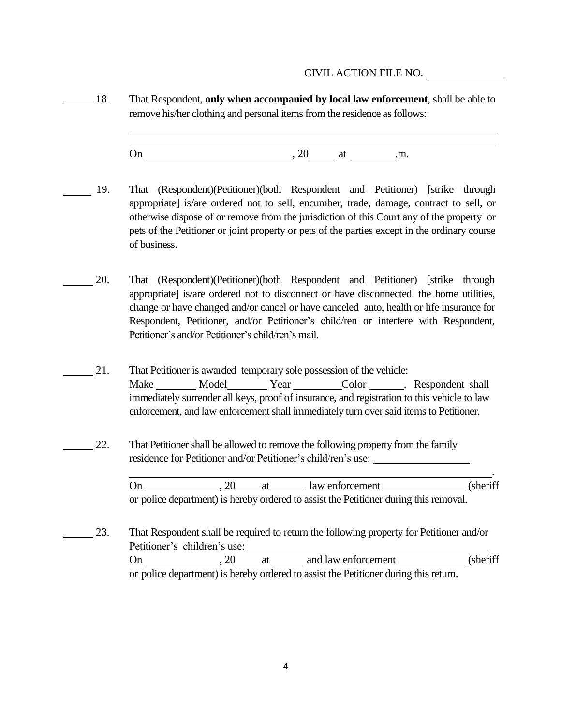## CIVIL ACTION FILE NO.

18. That Respondent, **only when accompanied by local law enforcement**, shall be able to remove his/her clothing and personal items from the residence as follows:

On  $, 20$  at  $,m$ .

- 19. That (Respondent)(Petitioner)(both Respondent and Petitioner) [strike through appropriate] is/are ordered not to sell, encumber, trade, damage, contract to sell, or otherwise dispose of or remove from the jurisdiction of this Court any of the property or pets of the Petitioner or joint property or pets of the parties except in the ordinary course of business.
- 20. That (Respondent)(Petitioner)(both Respondent and Petitioner) [strike through appropriate] is/are ordered not to disconnect or have disconnected the home utilities, change or have changed and/or cancel or have canceled auto, health or life insurance for Respondent, Petitioner, and/or Petitioner's child/ren or interfere with Respondent, Petitioner's and/or Petitioner's child/ren's mail.
	- 21. That Petitioner is awarded temporary sole possession of the vehicle: Make Model Year Color Respondent shall immediately surrender all keys, proof of insurance, and registration to this vehicle to law enforcement, and law enforcement shall immediately turn oversaid itemsto Petitioner.
- 22. That Petitionershall be allowed to remove the following property from the family residence for Petitioner and/or Petitioner's child/ren's use:

On 1. 20 at 1 aw enforcement (sheriff or police department) is hereby ordered to assist the Petitioner during thisremoval.

.

23. That Respondent shall be required to return the following property for Petitioner and/or Petitioner's children's use: On , 20 at and law enforcement (sheriff or police department) is hereby ordered to assist the Petitioner during this return.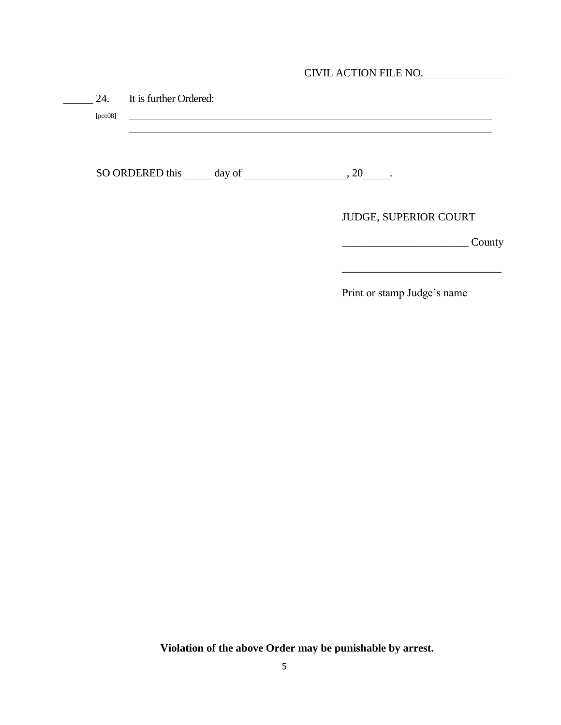| CIVIL ACTION FILE NO. |  |
|-----------------------|--|
|-----------------------|--|

| It is further Ordered:<br>24.<br>[pco08] |                       |
|------------------------------------------|-----------------------|
|                                          |                       |
| SO ORDERED this day of                   | $, 20$ .              |
|                                          | JUDGE, SUPERIOR COURT |
|                                          | County                |

Print or stamp Judge's name

**Violation of the above Order may be punishable by arrest.**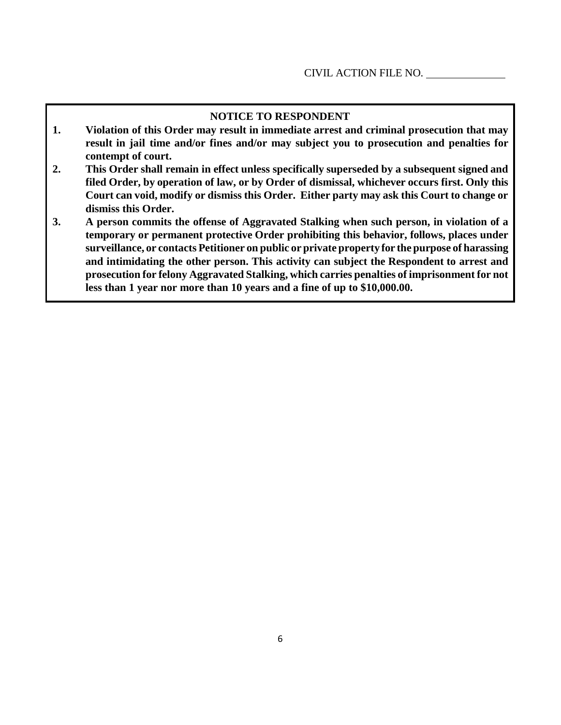## **NOTICE TO RESPONDENT**

- **1. Violation of this Order may result in immediate arrest and criminal prosecution that may result in jail time and/or fines and/or may subject you to prosecution and penalties for contempt of court.**
- **2. This Order shall remain in effect unless specifically superseded by a subsequent signed and filed Order, by operation of law, or by Order of dismissal, whichever occurs first. Only this Court can void, modify or dismiss this Order. Either party may ask this Court to change or dismiss this Order.**
- **3. A person commits the offense of Aggravated Stalking when such person, in violation of a temporary or permanent protective Order prohibiting this behavior, follows, places under surveillance, or contacts Petitioner on public or private property for the purpose of harassing and intimidating the other person. This activity can subject the Respondent to arrest and prosecution for felony Aggravated Stalking, which carries penalties of imprisonment for not less than 1 year nor more than 10 years and a fine of up to \$10,000.00.**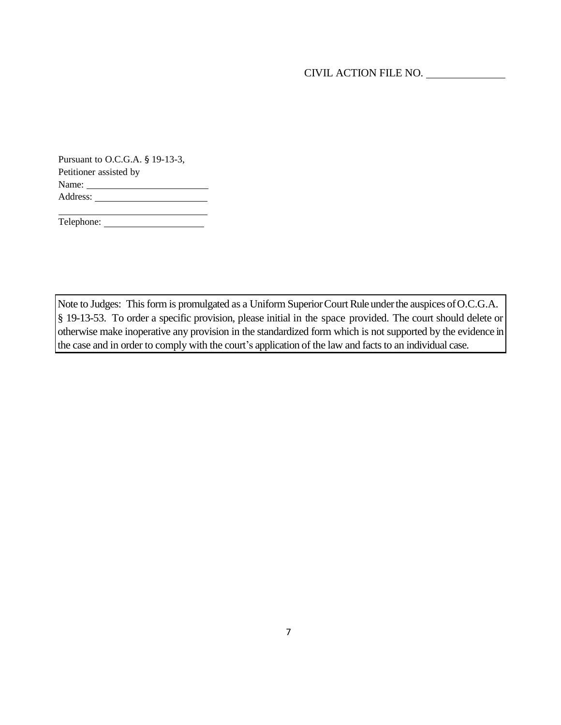Pursuant to O.C.G.A. § 19-13-3, Petitioner assisted by Name: Address:

Telephone:

Note to Judges: This form is promulgated as a Uniform Superior Court Rule under the auspices of O.C.G.A. § 19-13-53. To order a specific provision, please initial in the space provided. The court should delete or otherwise make inoperative any provision in the standardized form which is not supported by the evidence in the case and in order to comply with the court's application of the law and facts to an individual case.